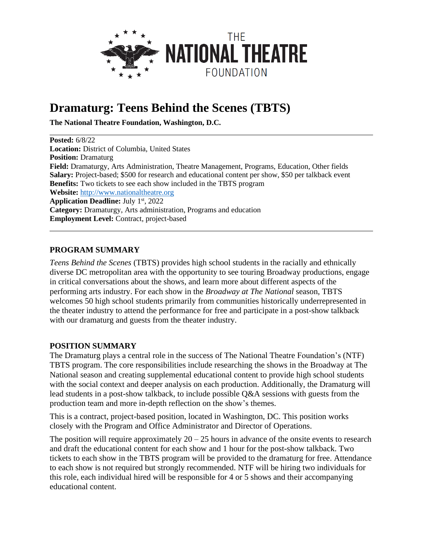

# **Dramaturg: Teens Behind the Scenes (TBTS)**

**The National Theatre Foundation, Washington, D.C.**

**Posted:** 6/8/22 **Location:** District of Columbia, United States **Position:** Dramaturg **Field:** Dramaturgy, Arts Administration, Theatre Management, Programs, Education, Other fields **Salary:** Project-based; \$500 for research and educational content per show, \$50 per talkback event **Benefits:** Two tickets to see each show included in the TBTS program **Website:** [http://www.nationaltheatre.org](http://www.nationaltheatre.org/) **Application Deadline:** July 1 st , 2022 **Category:** Dramaturgy, Arts administration, Programs and education **Employment Level:** Contract, project-based

#### **PROGRAM SUMMARY**

*Teens Behind the Scenes* (TBTS) provides high school students in the racially and ethnically diverse DC metropolitan area with the opportunity to see touring Broadway productions, engage in critical conversations about the shows, and learn more about different aspects of the performing arts industry. For each show in the *Broadway at The National* season, TBTS welcomes 50 high school students primarily from communities historically underrepresented in the theater industry to attend the performance for free and participate in a post-show talkback with our dramaturg and guests from the theater industry.

#### **POSITION SUMMARY**

The Dramaturg plays a central role in the success of The National Theatre Foundation's (NTF) TBTS program. The core responsibilities include researching the shows in the Broadway at The National season and creating supplemental educational content to provide high school students with the social context and deeper analysis on each production. Additionally, the Dramaturg will lead students in a post-show talkback, to include possible Q&A sessions with guests from the production team and more in-depth reflection on the show's themes.

This is a contract, project-based position, located in Washington, DC. This position works closely with the Program and Office Administrator and Director of Operations.

The position will require approximately  $20 - 25$  hours in advance of the onsite events to research and draft the educational content for each show and 1 hour for the post-show talkback. Two tickets to each show in the TBTS program will be provided to the dramaturg for free. Attendance to each show is not required but strongly recommended. NTF will be hiring two individuals for this role, each individual hired will be responsible for 4 or 5 shows and their accompanying educational content.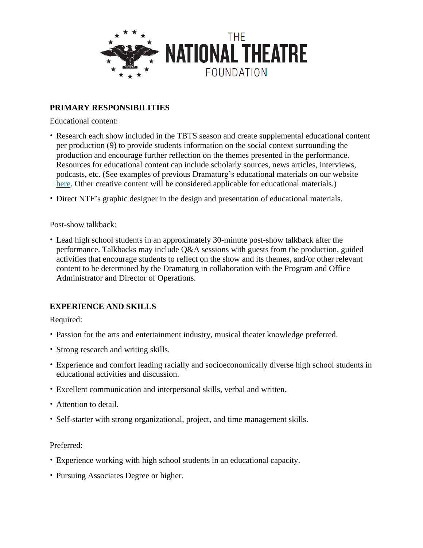

## **PRIMARY RESPONSIBILITIES**

Educational content:

- Research each show included in the TBTS season and create supplemental educational content per production (9) to provide students information on the social context surrounding the production and encourage further reflection on the themes presented in the performance. Resources for educational content can include scholarly sources, news articles, interviews, podcasts, etc. (See examples of previous Dramaturg's educational materials on our website [here.](https://www.nationaltheatre.org/teens-behind-the-scenes/production-study-guides/) Other creative content will be considered applicable for educational materials.)
- Direct NTF's graphic designer in the design and presentation of educational materials.

#### Post-show talkback:

• Lead high school students in an approximately 30-minute post-show talkback after the performance. Talkbacks may include Q&A sessions with guests from the production, guided activities that encourage students to reflect on the show and its themes, and/or other relevant content to be determined by the Dramaturg in collaboration with the Program and Office Administrator and Director of Operations.

## **EXPERIENCE AND SKILLS**

Required:

- Passion for the arts and entertainment industry, musical theater knowledge preferred.
- Strong research and writing skills.
- Experience and comfort leading racially and socioeconomically diverse high school students in educational activities and discussion.
- Excellent communication and interpersonal skills, verbal and written.
- Attention to detail.
- Self-starter with strong organizational, project, and time management skills.

#### Preferred:

- Experience working with high school students in an educational capacity.
- Pursuing Associates Degree or higher.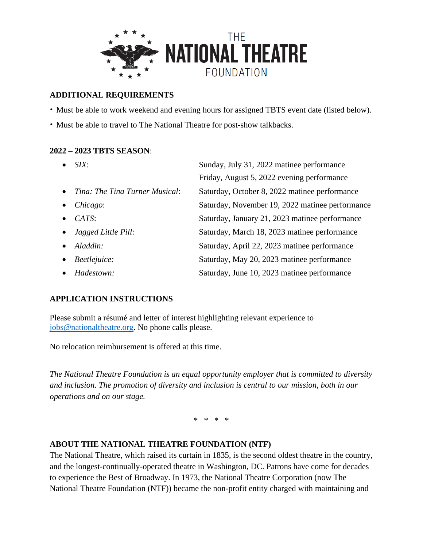

## **ADDITIONAL REQUIREMENTS**

• Must be able to work weekend and evening hours for assigned TBTS event date (listed below).

• Must be able to travel to The National Theatre for post-show talkbacks.

### **2022 – 2023 TBTS SEASON**:

| SIX:                             | Sunday, July 31, 2022 matinee performance       |
|----------------------------------|-------------------------------------------------|
|                                  | Friday, August 5, 2022 evening performance      |
| • Tina: The Tina Turner Musical: | Saturday, October 8, 2022 matinee performance   |
| Chicago:                         | Saturday, November 19, 2022 matinee performance |
| CATS:                            | Saturday, January 21, 2023 matinee performance  |
| $\bullet$ Jagged Little Pill:    | Saturday, March 18, 2023 matinee performance    |
| $\bullet$ Aladdin:               | Saturday, April 22, 2023 matinee performance    |
| $\bullet$ Beetlejuice:           | Saturday, May 20, 2023 matinee performance      |
| Hadestown:                       | Saturday, June 10, 2023 matinee performance     |

## **APPLICATION INSTRUCTIONS**

Please submit a résumé and letter of interest highlighting relevant experience to [jobs@nationaltheatre.org.](mailto:jobs@nationaltheatre.org) No phone calls please.

No relocation reimbursement is offered at this time.

*The National Theatre Foundation is an equal opportunity employer that is committed to diversity and inclusion. The promotion of diversity and inclusion is central to our mission, both in our operations and on our stage.*

\* \* \* \*

## **ABOUT THE NATIONAL THEATRE FOUNDATION (NTF)**

The National Theatre, which raised its curtain in 1835, is the second oldest theatre in the country, and the longest-continually-operated theatre in Washington, DC. Patrons have come for decades to experience the Best of Broadway. In 1973, the National Theatre Corporation (now The National Theatre Foundation (NTF)) became the non-profit entity charged with maintaining and